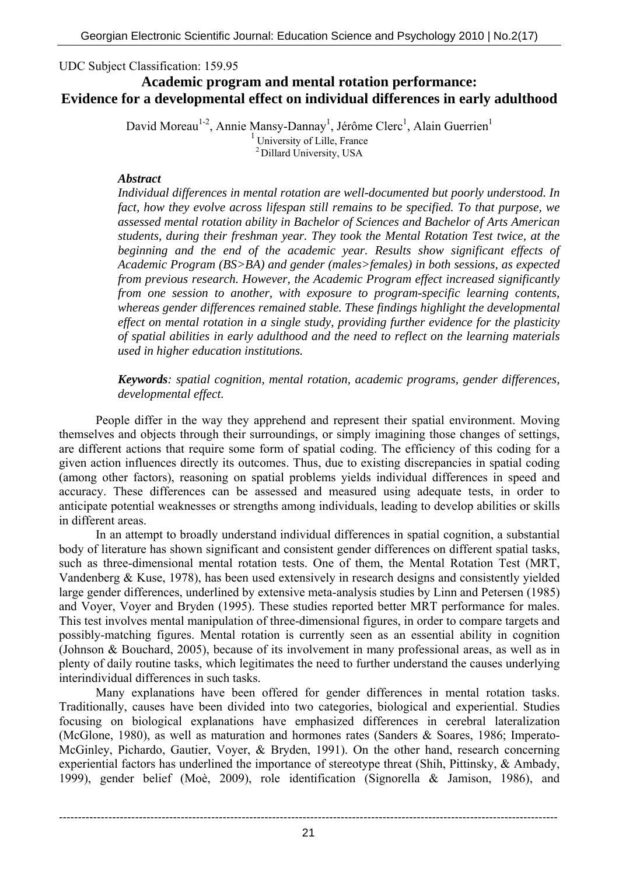UDC Subject Classification: 159.95

# **Academic program and mental rotation performance: Evidence for a developmental effect on individual differences in early adulthood**

David Moreau<sup>1-2</sup>, Annie Mansy-Dannay<sup>1</sup>, Jérôme Clerc<sup>1</sup>, Alain Guerrien<sup>1</sup>  $<sup>1</sup>$  University of Lille, France</sup> 2 Dillard University, USA

### *Abstract*

*Individual differences in mental rotation are well-documented but poorly understood. In fact, how they evolve across lifespan still remains to be specified. To that purpose, we assessed mental rotation ability in Bachelor of Sciences and Bachelor of Arts American students, during their freshman year. They took the Mental Rotation Test twice, at the beginning and the end of the academic year. Results show significant effects of Academic Program (BS>BA) and gender (males>females) in both sessions, as expected from previous research. However, the Academic Program effect increased significantly from one session to another, with exposure to program-specific learning contents, whereas gender differences remained stable. These findings highlight the developmental effect on mental rotation in a single study, providing further evidence for the plasticity of spatial abilities in early adulthood and the need to reflect on the learning materials used in higher education institutions.* 

### *Keywords: spatial cognition, mental rotation, academic programs, gender differences, developmental effect.*

 People differ in the way they apprehend and represent their spatial environment. Moving themselves and objects through their surroundings, or simply imagining those changes of settings, are different actions that require some form of spatial coding. The efficiency of this coding for a given action influences directly its outcomes. Thus, due to existing discrepancies in spatial coding (among other factors), reasoning on spatial problems yields individual differences in speed and accuracy. These differences can be assessed and measured using adequate tests, in order to anticipate potential weaknesses or strengths among individuals, leading to develop abilities or skills in different areas.

 In an attempt to broadly understand individual differences in spatial cognition, a substantial body of literature has shown significant and consistent gender differences on different spatial tasks, such as three-dimensional mental rotation tests. One of them, the Mental Rotation Test (MRT, Vandenberg & Kuse, 1978), has been used extensively in research designs and consistently yielded large gender differences, underlined by extensive meta-analysis studies by Linn and Petersen (1985) and Voyer, Voyer and Bryden (1995). These studies reported better MRT performance for males. This test involves mental manipulation of three-dimensional figures, in order to compare targets and possibly-matching figures. Mental rotation is currently seen as an essential ability in cognition (Johnson & Bouchard, 2005), because of its involvement in many professional areas, as well as in plenty of daily routine tasks, which legitimates the need to further understand the causes underlying interindividual differences in such tasks.

 Many explanations have been offered for gender differences in mental rotation tasks. Traditionally, causes have been divided into two categories, biological and experiential. Studies focusing on biological explanations have emphasized differences in cerebral lateralization (McGlone, 1980), as well as maturation and hormones rates (Sanders & Soares, 1986; Imperato-McGinley, Pichardo, Gautier, Voyer, & Bryden, 1991). On the other hand, research concerning experiential factors has underlined the importance of stereotype threat (Shih, Pittinsky, & Ambady, 1999), gender belief (Moè, 2009), role identification (Signorella & Jamison, 1986), and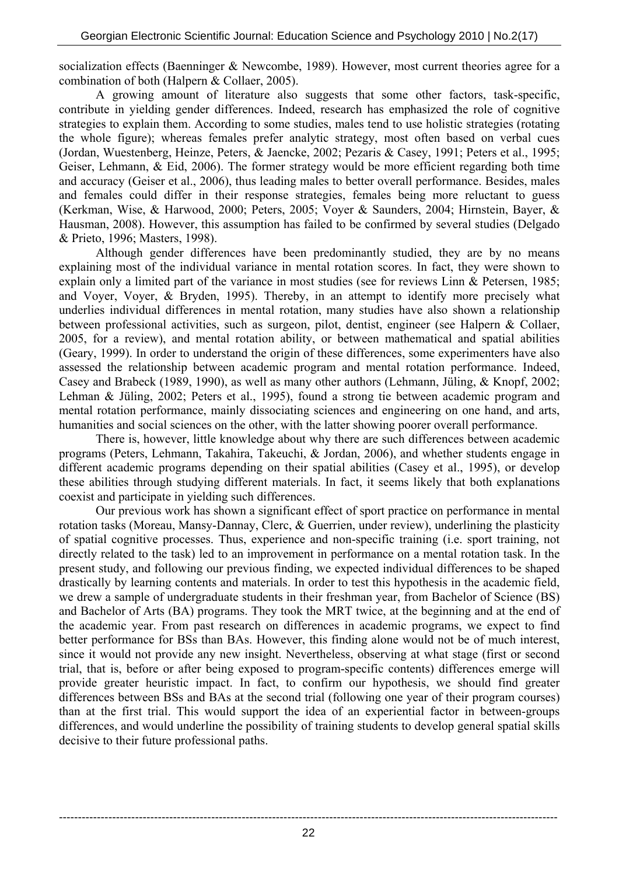socialization effects (Baenninger & Newcombe, 1989). However, most current theories agree for a combination of both (Halpern & Collaer, 2005).

 A growing amount of literature also suggests that some other factors, task-specific, contribute in yielding gender differences. Indeed, research has emphasized the role of cognitive strategies to explain them. According to some studies, males tend to use holistic strategies (rotating the whole figure); whereas females prefer analytic strategy, most often based on verbal cues (Jordan, Wuestenberg, Heinze, Peters, & Jaencke, 2002; Pezaris & Casey, 1991; Peters et al., 1995; Geiser, Lehmann, & Eid, 2006). The former strategy would be more efficient regarding both time and accuracy (Geiser et al., 2006), thus leading males to better overall performance. Besides, males and females could differ in their response strategies, females being more reluctant to guess (Kerkman, Wise, & Harwood, 2000; Peters, 2005; Voyer & Saunders, 2004; Hirnstein, Bayer, & Hausman, 2008). However, this assumption has failed to be confirmed by several studies (Delgado & Prieto, 1996; Masters, 1998).

 Although gender differences have been predominantly studied, they are by no means explaining most of the individual variance in mental rotation scores. In fact, they were shown to explain only a limited part of the variance in most studies (see for reviews Linn & Petersen, 1985; and Voyer, Voyer, & Bryden, 1995). Thereby, in an attempt to identify more precisely what underlies individual differences in mental rotation, many studies have also shown a relationship between professional activities, such as surgeon, pilot, dentist, engineer (see Halpern & Collaer, 2005, for a review), and mental rotation ability, or between mathematical and spatial abilities (Geary, 1999). In order to understand the origin of these differences, some experimenters have also assessed the relationship between academic program and mental rotation performance. Indeed, Casey and Brabeck (1989, 1990), as well as many other authors (Lehmann, Jüling, & Knopf, 2002; Lehman & Jüling, 2002; Peters et al., 1995), found a strong tie between academic program and mental rotation performance, mainly dissociating sciences and engineering on one hand, and arts, humanities and social sciences on the other, with the latter showing poorer overall performance.

 There is, however, little knowledge about why there are such differences between academic programs (Peters, Lehmann, Takahira, Takeuchi, & Jordan, 2006), and whether students engage in different academic programs depending on their spatial abilities (Casey et al., 1995), or develop these abilities through studying different materials. In fact, it seems likely that both explanations coexist and participate in yielding such differences.

 Our previous work has shown a significant effect of sport practice on performance in mental rotation tasks (Moreau, Mansy-Dannay, Clerc, & Guerrien, under review), underlining the plasticity of spatial cognitive processes. Thus, experience and non-specific training (i.e. sport training, not directly related to the task) led to an improvement in performance on a mental rotation task. In the present study, and following our previous finding, we expected individual differences to be shaped drastically by learning contents and materials. In order to test this hypothesis in the academic field, we drew a sample of undergraduate students in their freshman year, from Bachelor of Science (BS) and Bachelor of Arts (BA) programs. They took the MRT twice, at the beginning and at the end of the academic year. From past research on differences in academic programs, we expect to find better performance for BSs than BAs. However, this finding alone would not be of much interest, since it would not provide any new insight. Nevertheless, observing at what stage (first or second trial, that is, before or after being exposed to program-specific contents) differences emerge will provide greater heuristic impact. In fact, to confirm our hypothesis, we should find greater differences between BSs and BAs at the second trial (following one year of their program courses) than at the first trial. This would support the idea of an experiential factor in between-groups differences, and would underline the possibility of training students to develop general spatial skills decisive to their future professional paths.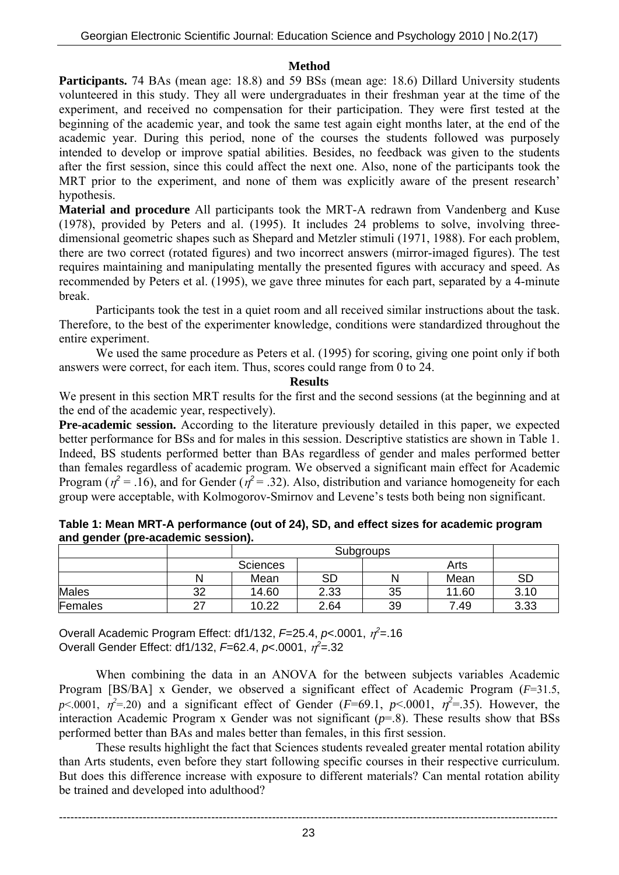### **Method**

**Participants.** 74 BAs (mean age: 18.8) and 59 BSs (mean age: 18.6) Dillard University students volunteered in this study. They all were undergraduates in their freshman year at the time of the experiment, and received no compensation for their participation. They were first tested at the beginning of the academic year, and took the same test again eight months later, at the end of the academic year. During this period, none of the courses the students followed was purposely intended to develop or improve spatial abilities. Besides, no feedback was given to the students after the first session, since this could affect the next one. Also, none of the participants took the MRT prior to the experiment, and none of them was explicitly aware of the present research' hypothesis.

**Material and procedure** All participants took the MRT-A redrawn from Vandenberg and Kuse (1978), provided by Peters and al. (1995). It includes 24 problems to solve, involving threedimensional geometric shapes such as Shepard and Metzler stimuli (1971, 1988). For each problem, there are two correct (rotated figures) and two incorrect answers (mirror-imaged figures). The test requires maintaining and manipulating mentally the presented figures with accuracy and speed. As recommended by Peters et al. (1995), we gave three minutes for each part, separated by a 4-minute break.

 Participants took the test in a quiet room and all received similar instructions about the task. Therefore, to the best of the experimenter knowledge, conditions were standardized throughout the entire experiment.

We used the same procedure as Peters et al. (1995) for scoring, giving one point only if both answers were correct, for each item. Thus, scores could range from 0 to 24.

#### **Results**

We present in this section MRT results for the first and the second sessions (at the beginning and at the end of the academic year, respectively).

**Pre-academic session.** According to the literature previously detailed in this paper, we expected better performance for BSs and for males in this session. Descriptive statistics are shown in Table 1. Indeed, BS students performed better than BAs regardless of gender and males performed better than females regardless of academic program. We observed a significant main effect for Academic Program ( $\eta^2$  = .16), and for Gender ( $\eta^2$  = .32). Also, distribution and variance homogeneity for each group were acceptable, with Kolmogorov-Smirnov and Levene's tests both being non significant.

|              |                 | Subgroups |           |    |       |           |
|--------------|-----------------|-----------|-----------|----|-------|-----------|
|              | <b>Sciences</b> |           |           |    |       |           |
|              |                 | Mean      | <b>SD</b> | N  | Mean  | <b>SD</b> |
| <b>Males</b> | າາ<br>ےں        | 14.60     | 2.33      | 35 | 11.60 | 3.10      |
| Females      | $\sim$          | 10.22     | 2.64      | 39 | 7.49  | 3.33      |

| Table 1: Mean MRT-A performance (out of 24), SD, and effect sizes for academic program |  |
|----------------------------------------------------------------------------------------|--|
| and gender (pre-academic session).                                                     |  |

Overall Academic Program Effect: df1/132, *F*=25.4, *p*<.0001, <sup>η</sup> *2* =.16 Overall Gender Effect: df1/132, *F*=62.4, *p*<.0001, <sup>η</sup> *2* =.32

 When combining the data in an ANOVA for the between subjects variables Academic Program [BS/BA] x Gender, we observed a significant effect of Academic Program (*F*=31.5, *p*<.0001,  $\eta^2$ =.20) and a significant effect of Gender (*F*=69.1, *p*<.0001,  $\eta^2$ =.35). However, the interaction Academic Program x Gender was not significant (*p*=.8). These results show that BSs performed better than BAs and males better than females, in this first session.

 These results highlight the fact that Sciences students revealed greater mental rotation ability than Arts students, even before they start following specific courses in their respective curriculum. But does this difference increase with exposure to different materials? Can mental rotation ability be trained and developed into adulthood?

----------------------------------------------------------------------------------------------------------------------------------- 23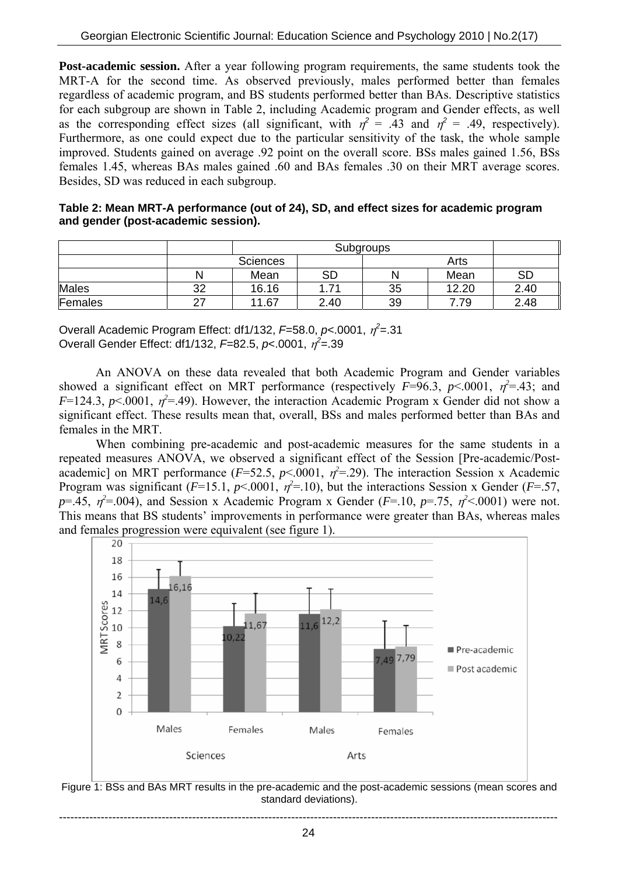**Post-academic session.** After a year following program requirements, the same students took the MRT-A for the second time. As observed previously, males performed better than females regardless of academic program, and BS students performed better than BAs. Descriptive statistics for each subgroup are shown in Table 2, including Academic program and Gender effects, as well as the corresponding effect sizes (all significant, with  $\eta^2 = .43$  and  $\eta^2 = .49$ , respectively). Furthermore, as one could expect due to the particular sensitivity of the task, the whole sample improved. Students gained on average .92 point on the overall score. BSs males gained 1.56, BSs females 1.45, whereas BAs males gained .60 and BAs females .30 on their MRT average scores. Besides, SD was reduced in each subgroup.

| Table 2: Mean MRT-A performance (out of 24), SD, and effect sizes for academic program |  |
|----------------------------------------------------------------------------------------|--|
| and gender (post-academic session).                                                    |  |

|              |    | Subgroups       |      |    |       |           |
|--------------|----|-----------------|------|----|-------|-----------|
|              |    | <b>Sciences</b> |      |    |       |           |
|              |    | Mean            | SD   | N  | Mean  | <b>SD</b> |
| <b>Males</b> | 32 | 16.16           | 1.71 | 35 | 12.20 | 2.40      |
| Females      | ົ  | 11.67           | 2.40 | 39 | 79:   | 2.48      |

Overall Academic Program Effect: df1/132, *F*=58.0, *p*<.0001, <sup>η</sup> *2* =.31 Overall Gender Effect: df1/132, *F*=82.5, *p*<.0001, <sup>η</sup> *2* =.39

 An ANOVA on these data revealed that both Academic Program and Gender variables showed a significant effect on MRT performance (respectively  $F=96.3$ ,  $p<.0001$ ,  $\eta^2=.43$ ; and *F*=124.3, *p*<.0001,  $\eta^2$ =.49). However, the interaction Academic Program x Gender did not show a significant effect. These results mean that, overall, BSs and males performed better than BAs and females in the MRT.

 When combining pre-academic and post-academic measures for the same students in a repeated measures ANOVA, we observed a significant effect of the Session [Pre-academic/Postacademic] on MRT performance ( $F=52.5$ ,  $p<.0001$ ,  $\eta^2=.29$ ). The interaction Session x Academic Program was significant ( $F=15.1$ ,  $p<0.001$ ,  $\eta^2=10$ ), but the interactions Session x Gender ( $F=.57$ ,  $p=0.45$ ,  $p^2=0.004$ ), and Session x Academic Program x Gender (*F*=.10, *p*=.75,  $p^2$ <.0001) were not. This means that BS students' improvements in performance were greater than BAs, whereas males and females progression were equivalent (see figure 1).



Figure 1: BSs and BAs MRT results in the pre-academic and the post-academic sessions (mean scores and standard deviations).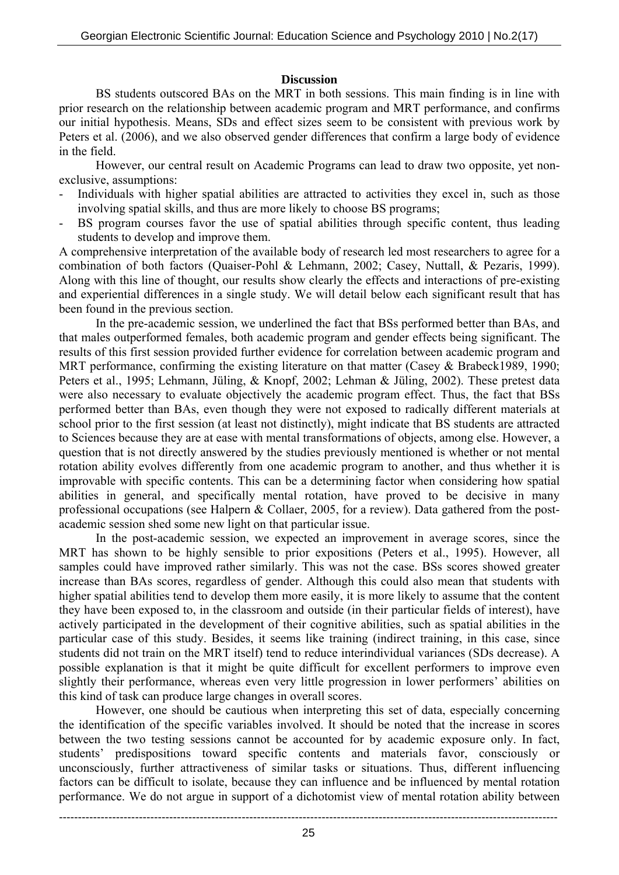### **Discussion**

 BS students outscored BAs on the MRT in both sessions. This main finding is in line with prior research on the relationship between academic program and MRT performance, and confirms our initial hypothesis. Means, SDs and effect sizes seem to be consistent with previous work by Peters et al. (2006), and we also observed gender differences that confirm a large body of evidence in the field.

 However, our central result on Academic Programs can lead to draw two opposite, yet nonexclusive, assumptions:

- Individuals with higher spatial abilities are attracted to activities they excel in, such as those involving spatial skills, and thus are more likely to choose BS programs;
- BS program courses favor the use of spatial abilities through specific content, thus leading students to develop and improve them.

A comprehensive interpretation of the available body of research led most researchers to agree for a combination of both factors (Quaiser-Pohl & Lehmann, 2002; Casey, Nuttall, & Pezaris, 1999). Along with this line of thought, our results show clearly the effects and interactions of pre-existing and experiential differences in a single study. We will detail below each significant result that has been found in the previous section.

 In the pre-academic session, we underlined the fact that BSs performed better than BAs, and that males outperformed females, both academic program and gender effects being significant. The results of this first session provided further evidence for correlation between academic program and MRT performance, confirming the existing literature on that matter (Casey & Brabeck1989, 1990; Peters et al., 1995; Lehmann, Jüling, & Knopf, 2002; Lehman & Jüling, 2002). These pretest data were also necessary to evaluate objectively the academic program effect. Thus, the fact that BSs performed better than BAs, even though they were not exposed to radically different materials at school prior to the first session (at least not distinctly), might indicate that BS students are attracted to Sciences because they are at ease with mental transformations of objects, among else. However, a question that is not directly answered by the studies previously mentioned is whether or not mental rotation ability evolves differently from one academic program to another, and thus whether it is improvable with specific contents. This can be a determining factor when considering how spatial abilities in general, and specifically mental rotation, have proved to be decisive in many professional occupations (see Halpern & Collaer, 2005, for a review). Data gathered from the postacademic session shed some new light on that particular issue.

 In the post-academic session, we expected an improvement in average scores, since the MRT has shown to be highly sensible to prior expositions (Peters et al., 1995). However, all samples could have improved rather similarly. This was not the case. BSs scores showed greater increase than BAs scores, regardless of gender. Although this could also mean that students with higher spatial abilities tend to develop them more easily, it is more likely to assume that the content they have been exposed to, in the classroom and outside (in their particular fields of interest), have actively participated in the development of their cognitive abilities, such as spatial abilities in the particular case of this study. Besides, it seems like training (indirect training, in this case, since students did not train on the MRT itself) tend to reduce interindividual variances (SDs decrease). A possible explanation is that it might be quite difficult for excellent performers to improve even slightly their performance, whereas even very little progression in lower performers' abilities on this kind of task can produce large changes in overall scores.

 However, one should be cautious when interpreting this set of data, especially concerning the identification of the specific variables involved. It should be noted that the increase in scores between the two testing sessions cannot be accounted for by academic exposure only. In fact, students' predispositions toward specific contents and materials favor, consciously or unconsciously, further attractiveness of similar tasks or situations. Thus, different influencing factors can be difficult to isolate, because they can influence and be influenced by mental rotation performance. We do not argue in support of a dichotomist view of mental rotation ability between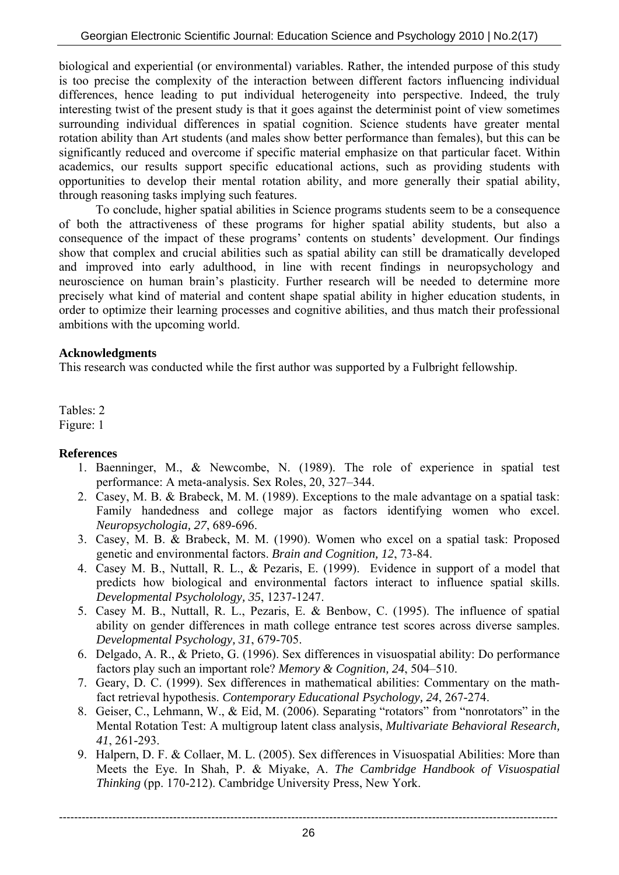biological and experiential (or environmental) variables. Rather, the intended purpose of this study is too precise the complexity of the interaction between different factors influencing individual differences, hence leading to put individual heterogeneity into perspective. Indeed, the truly interesting twist of the present study is that it goes against the determinist point of view sometimes surrounding individual differences in spatial cognition. Science students have greater mental rotation ability than Art students (and males show better performance than females), but this can be significantly reduced and overcome if specific material emphasize on that particular facet. Within academics, our results support specific educational actions, such as providing students with opportunities to develop their mental rotation ability, and more generally their spatial ability, through reasoning tasks implying such features.

 To conclude, higher spatial abilities in Science programs students seem to be a consequence of both the attractiveness of these programs for higher spatial ability students, but also a consequence of the impact of these programs' contents on students' development. Our findings show that complex and crucial abilities such as spatial ability can still be dramatically developed and improved into early adulthood, in line with recent findings in neuropsychology and neuroscience on human brain's plasticity. Further research will be needed to determine more precisely what kind of material and content shape spatial ability in higher education students, in order to optimize their learning processes and cognitive abilities, and thus match their professional ambitions with the upcoming world.

## **Acknowledgments**

This research was conducted while the first author was supported by a Fulbright fellowship.

Tables: 2 Figure: 1

### **References**

- 1. Baenninger, M., & Newcombe, N. (1989). The role of experience in spatial test performance: A meta-analysis. Sex Roles, 20, 327–344.
- 2. Casey, M. B. & Brabeck, M. M. (1989). Exceptions to the male advantage on a spatial task: Family handedness and college major as factors identifying women who excel. *Neuropsychologia, 27*, 689-696.
- 3. Casey, M. B. & Brabeck, M. M. (1990). Women who excel on a spatial task: Proposed genetic and environmental factors. *Brain and Cognition, 12*, 73-84.
- 4. Casey M. B., Nuttall, R. L., & Pezaris, E. (1999). Evidence in support of a model that predicts how biological and environmental factors interact to influence spatial skills. *Developmental Psycholology, 35*, 1237-1247.
- 5. Casey M. B., Nuttall, R. L., Pezaris, E. & Benbow, C. (1995). The influence of spatial ability on gender differences in math college entrance test scores across diverse samples. *Developmental Psychology, 31*, 679-705.
- 6. Delgado, A. R., & Prieto, G. (1996). Sex differences in visuospatial ability: Do performance factors play such an important role? *Memory & Cognition, 24*, 504–510.
- 7. Geary, D. C. (1999). Sex differences in mathematical abilities: Commentary on the mathfact retrieval hypothesis. *Contemporary Educational Psychology, 24*, 267-274.
- 8. Geiser, C., Lehmann, W., & Eid, M. (2006). Separating "rotators" from "nonrotators" in the Mental Rotation Test: A multigroup latent class analysis, *Multivariate Behavioral Research, 41*, 261-293.
- 9. Halpern, D. F. & Collaer, M. L. (2005). Sex differences in Visuospatial Abilities: More than Meets the Eye. In Shah, P. & Miyake, A. *The Cambridge Handbook of Visuospatial Thinking* (pp. 170-212). Cambridge University Press, New York.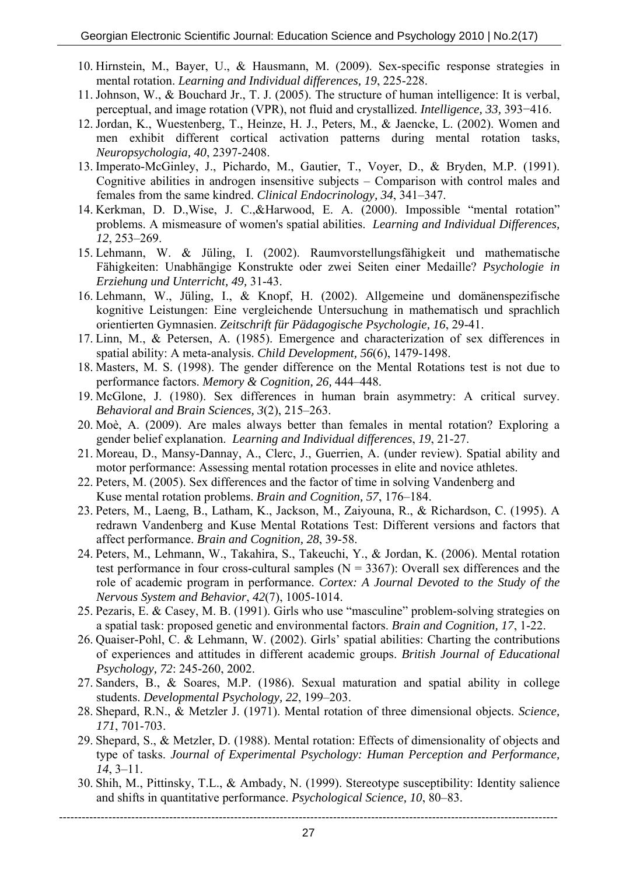- 10. Hirnstein, M., Bayer, U., & Hausmann, M. (2009). Sex-specific response strategies in mental rotation. *Learning and Individual differences, 19*, 225-228.
- 11. Johnson, W., & Bouchard Jr., T. J. (2005). The structure of human intelligence: It is verbal, perceptual, and image rotation (VPR), not fluid and crystallized. *Intelligence, 33,* 393−416.
- 12. Jordan, K., Wuestenberg, T., Heinze, H. J., Peters, M., & Jaencke, L. (2002). Women and men exhibit different cortical activation patterns during mental rotation tasks, *Neuropsychologia, 40*, 2397-2408.
- 13. Imperato-McGinley, J., Pichardo, M., Gautier, T., Voyer, D., & Bryden, M.P. (1991). Cognitive abilities in androgen insensitive subjects – Comparison with control males and females from the same kindred. *Clinical Endocrinology, 34*, 341–347.
- 14. Kerkman, D. D.,Wise, J. C.,&Harwood, E. A. (2000). Impossible "mental rotation" problems. A mismeasure of women's spatial abilities. *Learning and Individual Differences, 12*, 253–269.
- 15. Lehmann, W. & Jüling, I. (2002). Raumvorstellungsfähigkeit und mathematische Fähigkeiten: Unabhängige Konstrukte oder zwei Seiten einer Medaille? *Psychologie in Erziehung und Unterricht, 49,* 31-43.
- 16. Lehmann, W., Jüling, I., & Knopf, H. (2002). Allgemeine und domänenspezifische kognitive Leistungen: Eine vergleichende Untersuchung in mathematisch und sprachlich orientierten Gymnasien. *Zeitschrift für Pädagogische Psychologie, 16*, 29-41.
- 17. Linn, M., & Petersen, A. (1985). Emergence and characterization of sex differences in spatial ability: A meta-analysis. *Child Development, 56*(6), 1479-1498.
- 18. Masters, M. S. (1998). The gender difference on the Mental Rotations test is not due to performance factors. *Memory & Cognition, 26,* 444–448.
- 19. McGlone, J. (1980). Sex differences in human brain asymmetry: A critical survey. *Behavioral and Brain Sciences, 3*(2), 215–263.
- 20. Moè, A. (2009). Are males always better than females in mental rotation? Exploring a gender belief explanation. *Learning and Individual differences*, *19*, 21-27.
- 21. Moreau, D., Mansy-Dannay, A., Clerc, J., Guerrien, A. (under review). Spatial ability and motor performance: Assessing mental rotation processes in elite and novice athletes.
- 22. Peters, M. (2005). Sex differences and the factor of time in solving Vandenberg and Kuse mental rotation problems. *Brain and Cognition, 57*, 176–184.
- 23. Peters, M., Laeng, B., Latham, K., Jackson, M., Zaiyouna, R., & Richardson, C. (1995). A redrawn Vandenberg and Kuse Mental Rotations Test: Different versions and factors that affect performance. *Brain and Cognition, 28*, 39-58.
- 24. Peters, M., Lehmann, W., Takahira, S., Takeuchi, Y., & Jordan, K. (2006). Mental rotation test performance in four cross-cultural samples  $(N = 3367)$ : Overall sex differences and the role of academic program in performance. *Cortex: A Journal Devoted to the Study of the Nervous System and Behavior*, *42*(7), 1005-1014.
- 25. Pezaris, E. & Casey, M. B. (1991). Girls who use "masculine" problem-solving strategies on a spatial task: proposed genetic and environmental factors. *Brain and Cognition, 17*, 1-22.
- 26. Quaiser-Pohl, C. & Lehmann, W. (2002). Girls' spatial abilities: Charting the contributions of experiences and attitudes in different academic groups. *British Journal of Educational Psychology, 72*: 245-260, 2002.
- 27. Sanders, B., & Soares, M.P. (1986). Sexual maturation and spatial ability in college students. *Developmental Psychology, 22*, 199–203.
- 28. Shepard, R.N., & Metzler J. (1971). Mental rotation of three dimensional objects. *Science, 171*, 701-703.
- 29. Shepard, S., & Metzler, D. (1988). Mental rotation: Effects of dimensionality of objects and type of tasks. *Journal of Experimental Psychology: Human Perception and Performance, 14*, 3–11.
- 30. Shih, M., Pittinsky, T.L., & Ambady, N. (1999). Stereotype susceptibility: Identity salience and shifts in quantitative performance. *Psychological Science, 10*, 80–83.

-----------------------------------------------------------------------------------------------------------------------------------